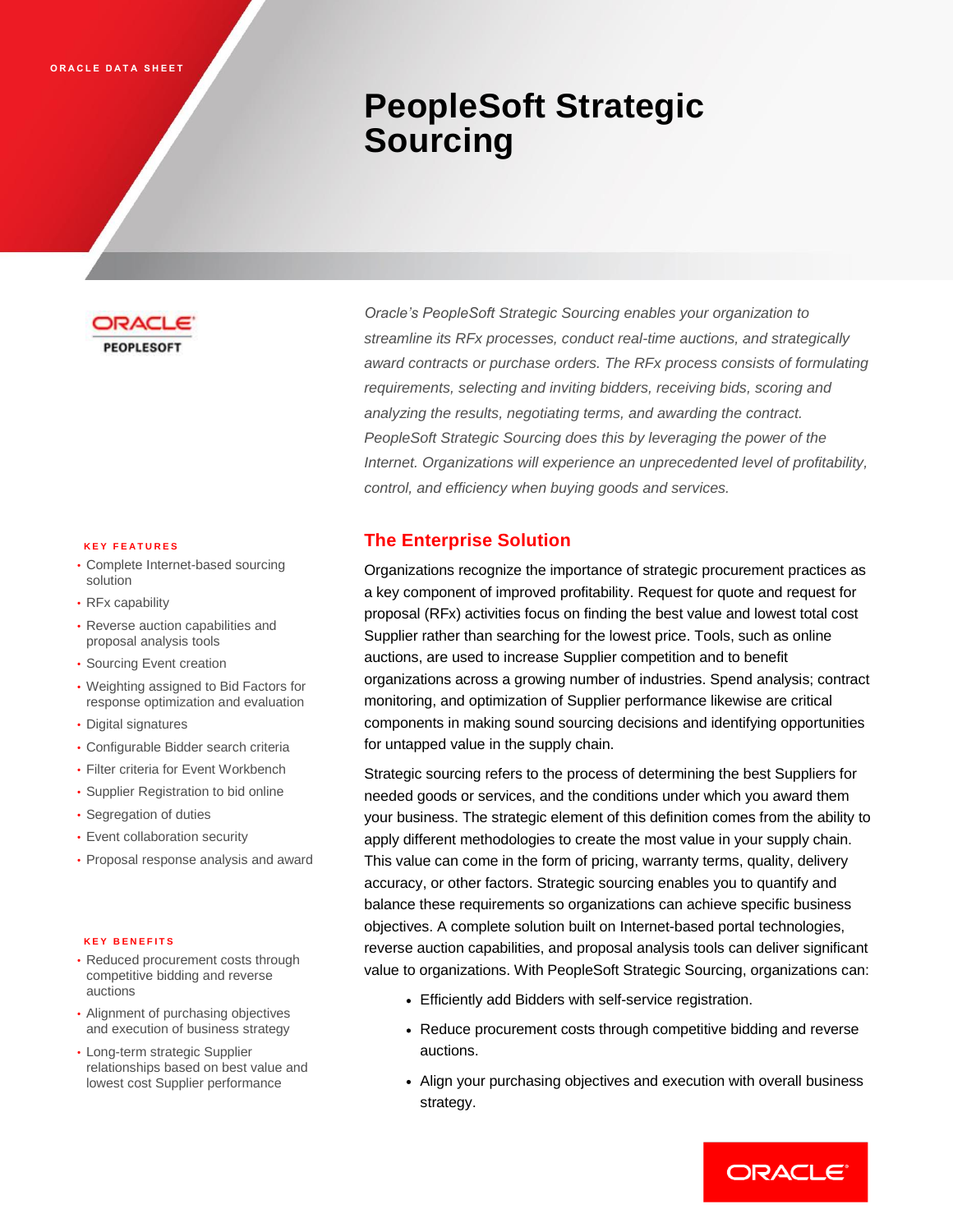# **PeopleSoft Strategic Sourcing**



#### **K E Y F E A T U R E S**

- Complete Internet-based sourcing solution
- RFx capability
- Reverse auction capabilities and proposal analysis tools
- Sourcing Event creation
- Weighting assigned to Bid Factors for response optimization and evaluation
- Digital signatures
- Configurable Bidder search criteria
- Filter criteria for Event Workbench
- Supplier Registration to bid online
- Segregation of duties
- Event collaboration security
- Proposal response analysis and award

#### **K E Y B E N E F I T S**

- Reduced procurement costs through competitive bidding and reverse auctions
- Alignment of purchasing objectives and execution of business strategy
- Long-term strategic Supplier relationships based on best value and lowest cost Supplier performance

*Oracle's PeopleSoft Strategic Sourcing enables your organization to streamline its RFx processes, conduct real-time auctions, and strategically award contracts or purchase orders. The RFx process consists of formulating requirements, selecting and inviting bidders, receiving bids, scoring and analyzing the results, negotiating terms, and awarding the contract. PeopleSoft Strategic Sourcing does this by leveraging the power of the Internet. Organizations will experience an unprecedented level of profitability, control, and efficiency when buying goods and services.*

## **The Enterprise Solution**

Organizations recognize the importance of strategic procurement practices as a key component of improved profitability. Request for quote and request for proposal (RFx) activities focus on finding the best value and lowest total cost Supplier rather than searching for the lowest price. Tools, such as online auctions, are used to increase Supplier competition and to benefit organizations across a growing number of industries. Spend analysis; contract monitoring, and optimization of Supplier performance likewise are critical components in making sound sourcing decisions and identifying opportunities for untapped value in the supply chain.

Strategic sourcing refers to the process of determining the best Suppliers for needed goods or services, and the conditions under which you award them your business. The strategic element of this definition comes from the ability to apply different methodologies to create the most value in your supply chain. This value can come in the form of pricing, warranty terms, quality, delivery accuracy, or other factors. Strategic sourcing enables you to quantify and balance these requirements so organizations can achieve specific business objectives. A complete solution built on Internet-based portal technologies, reverse auction capabilities, and proposal analysis tools can deliver significant value to organizations. With PeopleSoft Strategic Sourcing, organizations can:

- Efficiently add Bidders with self-service registration.
- Reduce procurement costs through competitive bidding and reverse auctions.
- Align your purchasing objectives and execution with overall business strategy.

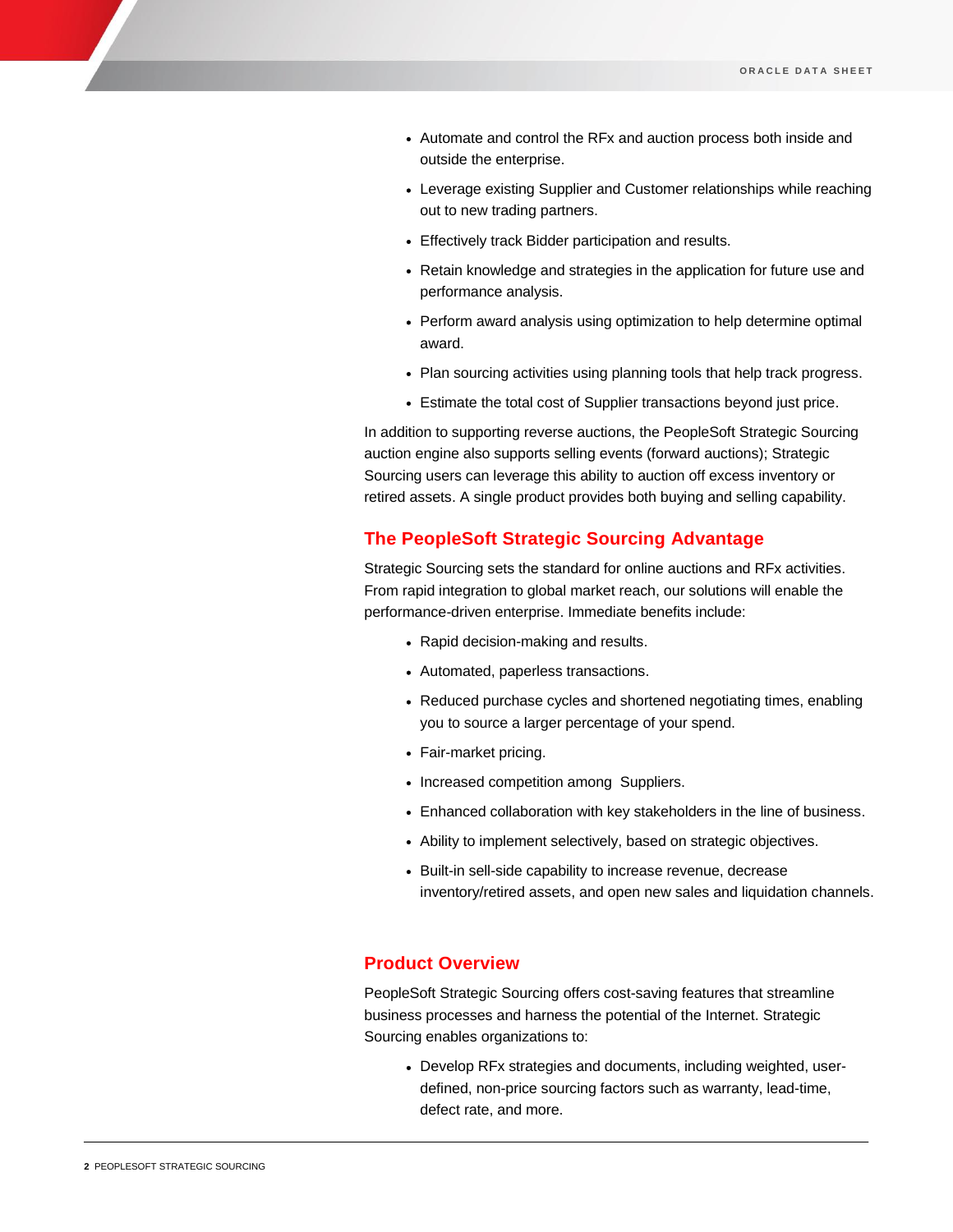- Automate and control the RFx and auction process both inside and outside the enterprise.
- Leverage existing Supplier and Customer relationships while reaching out to new trading partners.
- Effectively track Bidder participation and results.
- Retain knowledge and strategies in the application for future use and performance analysis.
- Perform award analysis using optimization to help determine optimal award.
- Plan sourcing activities using planning tools that help track progress.
- Estimate the total cost of Supplier transactions beyond just price.

In addition to supporting reverse auctions, the PeopleSoft Strategic Sourcing auction engine also supports selling events (forward auctions); Strategic Sourcing users can leverage this ability to auction off excess inventory or retired assets. A single product provides both buying and selling capability.

## **The PeopleSoft Strategic Sourcing Advantage**

Strategic Sourcing sets the standard for online auctions and RFx activities. From rapid integration to global market reach, our solutions will enable the performance-driven enterprise. Immediate benefits include:

- Rapid decision-making and results.
- Automated, paperless transactions.
- Reduced purchase cycles and shortened negotiating times, enabling you to source a larger percentage of your spend.
- Fair-market pricing.
- Increased competition among Suppliers.
- Enhanced collaboration with key stakeholders in the line of business.
- Ability to implement selectively, based on strategic objectives.
- Built-in sell-side capability to increase revenue, decrease inventory/retired assets, and open new sales and liquidation channels.

## **Product Overview**

PeopleSoft Strategic Sourcing offers cost-saving features that streamline business processes and harness the potential of the Internet. Strategic Sourcing enables organizations to:

 Develop RFx strategies and documents, including weighted, userdefined, non-price sourcing factors such as warranty, lead-time, defect rate, and more.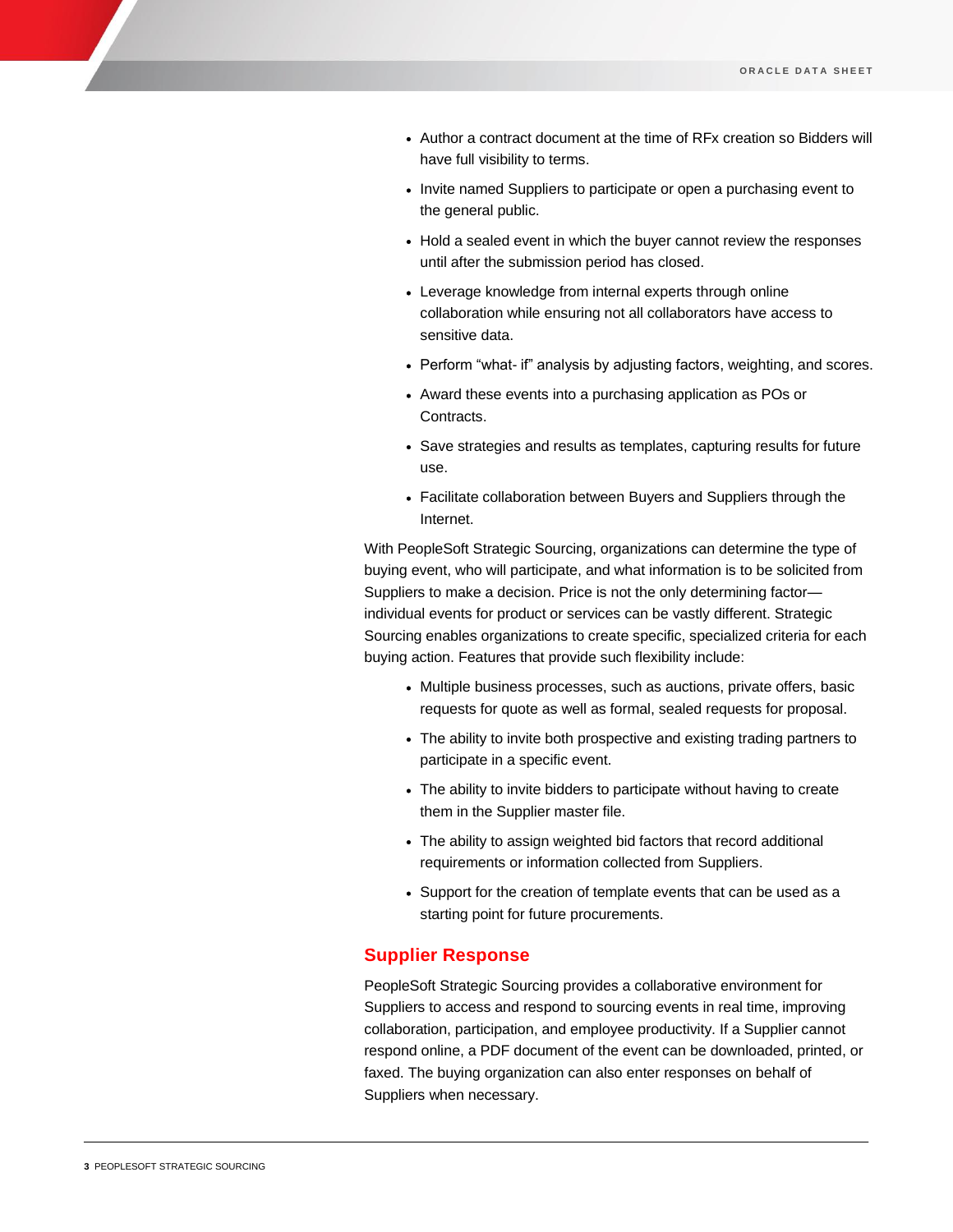- Author a contract document at the time of RFx creation so Bidders will have full visibility to terms.
- Invite named Suppliers to participate or open a purchasing event to the general public.
- Hold a sealed event in which the buyer cannot review the responses until after the submission period has closed.
- Leverage knowledge from internal experts through online collaboration while ensuring not all collaborators have access to sensitive data.
- Perform "what- if" analysis by adjusting factors, weighting, and scores.
- Award these events into a purchasing application as POs or Contracts.
- Save strategies and results as templates, capturing results for future use.
- Facilitate collaboration between Buyers and Suppliers through the Internet.

With PeopleSoft Strategic Sourcing, organizations can determine the type of buying event, who will participate, and what information is to be solicited from Suppliers to make a decision. Price is not the only determining factor individual events for product or services can be vastly different. Strategic Sourcing enables organizations to create specific, specialized criteria for each buying action. Features that provide such flexibility include:

- Multiple business processes, such as auctions, private offers, basic requests for quote as well as formal, sealed requests for proposal.
- The ability to invite both prospective and existing trading partners to participate in a specific event.
- The ability to invite bidders to participate without having to create them in the Supplier master file.
- The ability to assign weighted bid factors that record additional requirements or information collected from Suppliers.
- Support for the creation of template events that can be used as a starting point for future procurements.

## **Supplier Response**

PeopleSoft Strategic Sourcing provides a collaborative environment for Suppliers to access and respond to sourcing events in real time, improving collaboration, participation, and employee productivity. If a Supplier cannot respond online, a PDF document of the event can be downloaded, printed, or faxed. The buying organization can also enter responses on behalf of Suppliers when necessary.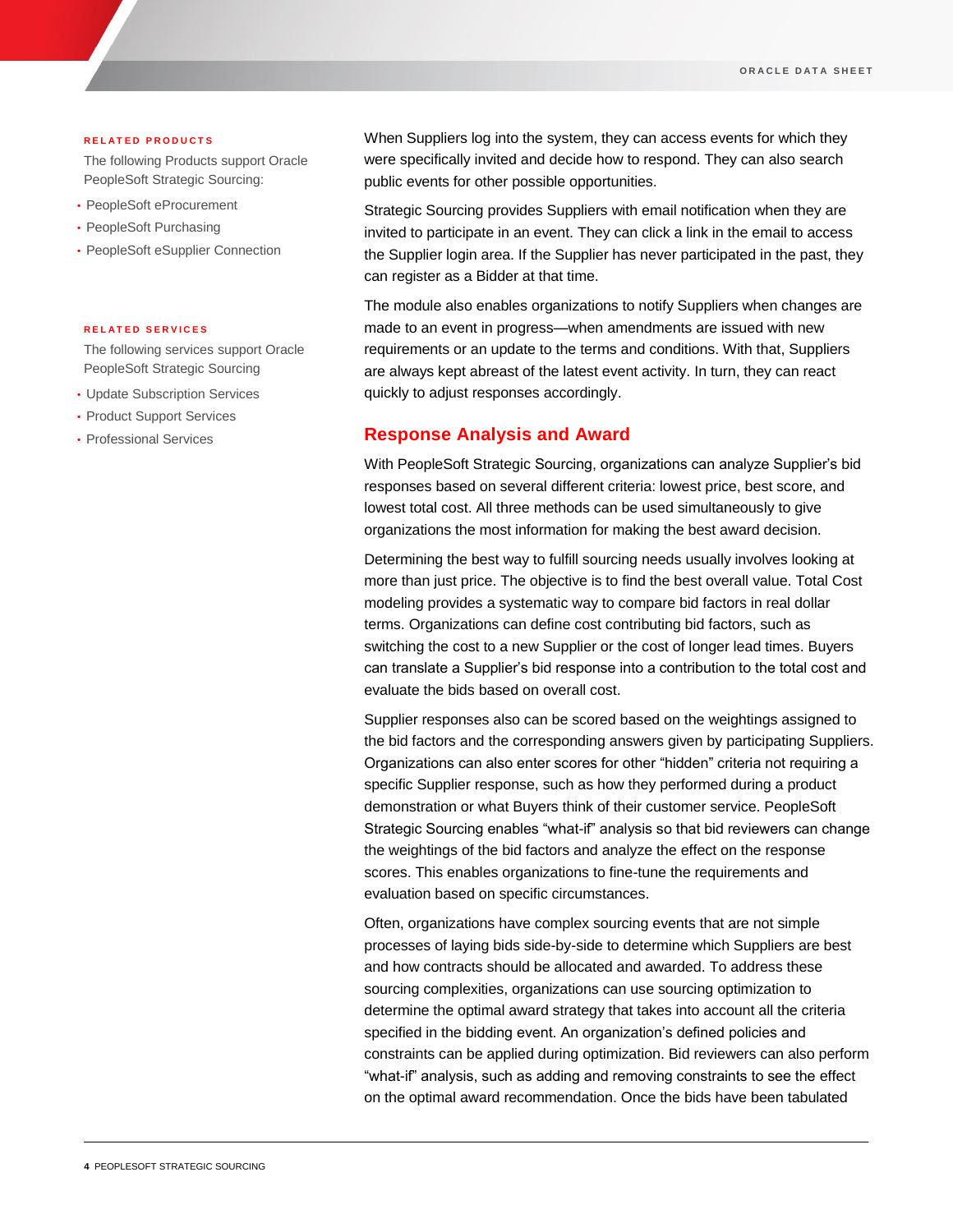#### **R E L A T E D P R O D U C T S**

The following Products support Oracle PeopleSoft Strategic Sourcing:

- PeopleSoft eProcurement
- PeopleSoft Purchasing
- PeopleSoft eSupplier Connection

#### **R E L A T E D S E R V I C E S**

The following services support Oracle PeopleSoft Strategic Sourcing

- Update Subscription Services
- Product Support Services
- Professional Services

When Suppliers log into the system, they can access events for which they were specifically invited and decide how to respond. They can also search public events for other possible opportunities.

Strategic Sourcing provides Suppliers with email notification when they are invited to participate in an event. They can click a link in the email to access the Supplier login area. If the Supplier has never participated in the past, they can register as a Bidder at that time.

The module also enables organizations to notify Suppliers when changes are made to an event in progress—when amendments are issued with new requirements or an update to the terms and conditions. With that, Suppliers are always kept abreast of the latest event activity. In turn, they can react quickly to adjust responses accordingly.

### **Response Analysis and Award**

With PeopleSoft Strategic Sourcing, organizations can analyze Supplier's bid responses based on several different criteria: lowest price, best score, and lowest total cost. All three methods can be used simultaneously to give organizations the most information for making the best award decision.

Determining the best way to fulfill sourcing needs usually involves looking at more than just price. The objective is to find the best overall value. Total Cost modeling provides a systematic way to compare bid factors in real dollar terms. Organizations can define cost contributing bid factors, such as switching the cost to a new Supplier or the cost of longer lead times. Buyers can translate a Supplier's bid response into a contribution to the total cost and evaluate the bids based on overall cost.

Supplier responses also can be scored based on the weightings assigned to the bid factors and the corresponding answers given by participating Suppliers. Organizations can also enter scores for other "hidden" criteria not requiring a specific Supplier response, such as how they performed during a product demonstration or what Buyers think of their customer service. PeopleSoft Strategic Sourcing enables "what-if" analysis so that bid reviewers can change the weightings of the bid factors and analyze the effect on the response scores. This enables organizations to fine-tune the requirements and evaluation based on specific circumstances.

Often, organizations have complex sourcing events that are not simple processes of laying bids side-by-side to determine which Suppliers are best and how contracts should be allocated and awarded. To address these sourcing complexities, organizations can use sourcing optimization to determine the optimal award strategy that takes into account all the criteria specified in the bidding event. An organization's defined policies and constraints can be applied during optimization. Bid reviewers can also perform "what-if" analysis, such as adding and removing constraints to see the effect on the optimal award recommendation. Once the bids have been tabulated